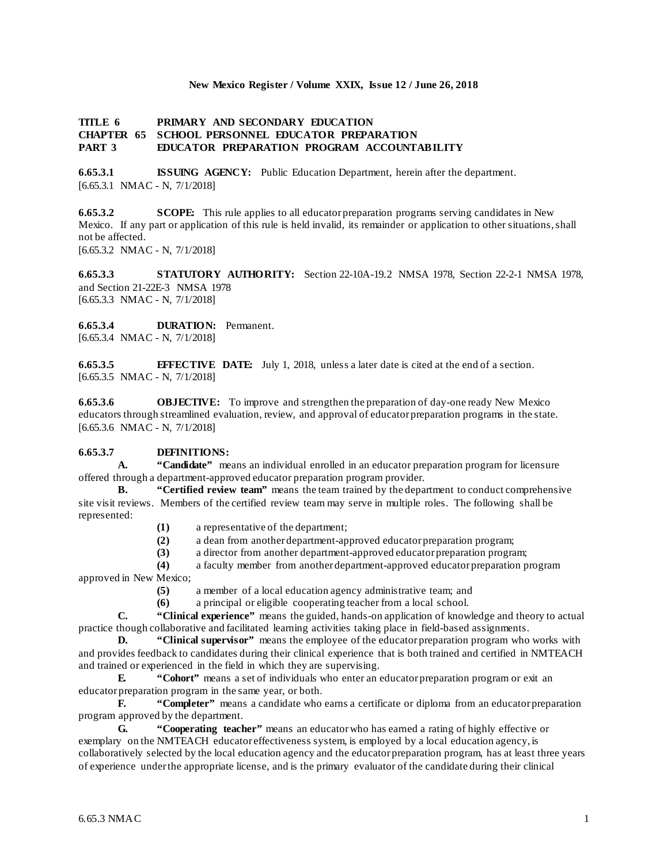#### **New Mexico Register / Volume XXIX, Issue 12 / June 26, 2018**

#### **TITLE 6 PRIMARY AND SECONDARY EDUCATION CHAPTER 65 SCHOOL PERSONNEL EDUCATOR PREPARATION PART 3 EDUCATOR PREPARATION PROGRAM ACCOUNTABILITY**

**6.65.3.1 ISSUING AGENCY:** Public Education Department, herein after the department. [6.65.3.1 NMAC - N, 7/1/2018]

**6.65.3.2 SCOPE:** This rule applies to all educator preparation programs serving candidates in New Mexico. If any part or application of this rule is held invalid, its remainder or application to other situations, shall not be affected.

[6.65.3.2 NMAC - N, 7/1/2018]

**6.65.3.3 STATUTORY AUTHORITY:** Section 22-10A-19.2 NMSA 1978, Section 22-2-1 NMSA 1978, and Section 21-22E-3 NMSA 1978 [6.65.3.3 NMAC - N, 7/1/2018]

**6.65.3.4 DURATION:** Permanent. [6.65.3.4 NMAC - N, 7/1/2018]

**6.65.3.5 EFFECTIVE DATE:** July 1, 2018, unless a later date is cited at the end of a section. [6.65.3.5 NMAC - N, 7/1/2018]

**6.65.3.6 OBJECTIVE:** To improve and strengthen the preparation of day-one ready New Mexico educators through streamlined evaluation, review, and approval of educator preparation programs in the state. [6.65.3.6 NMAC - N, 7/1/2018]

## **6.65.3.7 DEFINITIONS:**

**A. "Candidate"** means an individual enrolled in an educator preparation program for licensure offered through a department-approved educator preparation program provider.

**B. "Certified review team"** means the team trained by the department to conduct comprehensive site visit reviews. Members of the certified review team may serve in multiple roles. The following shall be represented:

**(1)** a representative of the department;

**(2)** a dean from another department-approved educator preparation program;

**(3)** a director from another department-approved educator preparation program;

**(4)** a faculty member from another department-approved educator preparation program approved in New Mexico;

- **(5)** a member of a local education agency administrative team; and
- **(6)** a principal or eligible cooperating teacher from a local school.

**C. "Clinical experience"** means the guided, hands-on application of knowledge and theory to actual practice though collaborative and facilitated learning activities taking place in field-based assignments.

**D. "Clinical supervisor"** means the employee of the educator preparation program who works with and provides feedback to candidates during their clinical experience that is both trained and certified in NMTEACH and trained or experienced in the field in which they are supervising.<br> **E** "Cohort" means a set of individuals who enter an e

**E. "Cohort"** means a set of individuals who enter an educator preparation program or exit an educator preparation program in the same year, or both.

**F. "Completer"** means a candidate who earns a certificate or diploma from an educator preparation program approved by the department.

**G. "Cooperating teacher"** means an educator who has earned a rating of highly effective or exemplary on the NMTEACH educator effectiveness system, is employed by a local education agency, is collaboratively selected by the local education agency and the educator preparation program, has at least three years of experience under the appropriate license, and is the primary evaluator of the candidate during their clinical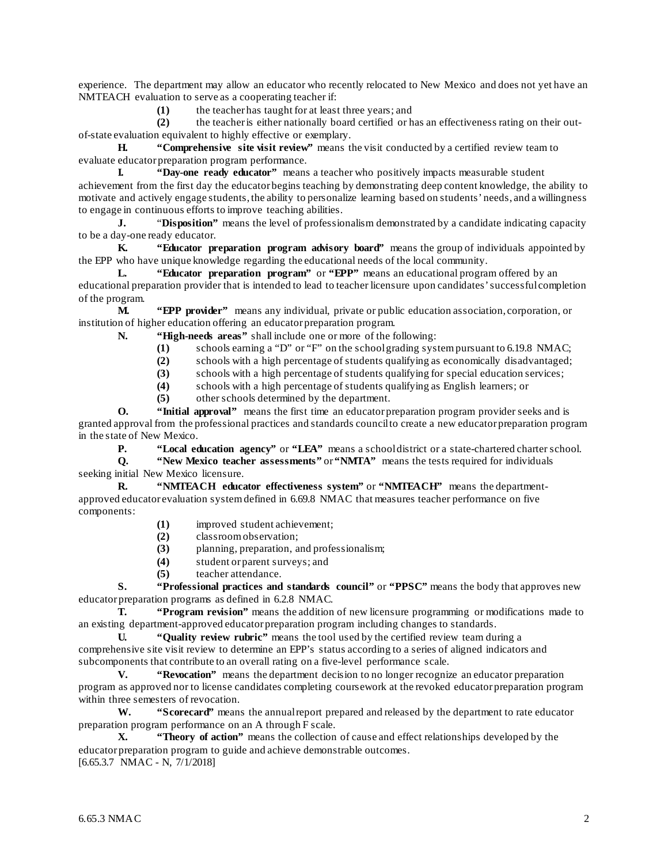experience. The department may allow an educator who recently relocated to New Mexico and does not yet have an NMTEACH evaluation to serve as a cooperating teacher if:

(1) the teacher has taught for at least three years; and<br>(2) the teacher is either nationally board certified or h

**(2)** the teacher is either nationally board certified or has an effectiveness rating on their outof-state evaluation equivalent to highly effective or exemplary.

**H. "Comprehensive site visit review"** means the visit conducted by a certified review team to evaluate educator preparation program performance.

**I. "Day-one ready educator"** means a teacher who positively impacts measurable student achievement from the first day the educator begins teaching by demonstrating deep content knowledge, the ability to motivate and actively engage students, the ability to personalize learning based on students' needs, and a willingness to engage in continuous efforts to improve teaching abilities.

**J.** "Disposition" means the level of professionalism demonstrated by a candidate indicating capacity to be a day-one ready educator.

**K. "Educator preparation program advisory board"** means the group of individuals appointed by the EPP who have unique knowledge regarding the educational needs of the local community.

**L. "Educator preparation program"** or **"EPP"** means an educational program offered by an educational preparation provider that is intended to lead to teacher licensure upon candidates' successful completion of the program.

**M. "EPP provider"** means any individual, private or public education association, corporation, or institution of higher education offering an educator preparation program.

**N. "High-needs areas"** shall include one or more of the following:

- (1) schools earning a "D" or "F" on the school grading system pursuant to 6.19.8 NMAC;<br>(2) schools with a high percentage of students qualifying as economically disadvantaged;
- **(2)** schools with a high percentage of students qualifying as economically disadvantaged;
- **(3)** schools with a high percentage of students qualifying for special education services;
- **(4)** schools with a high percentage of students qualifying as English learners; or
- **(5)** other schools determined by the department.

**O. "Initial approval"** means the first time an educator preparation program provider seeks and is granted approval from the professional practices and standards council to create a new educator preparation program in the state of New Mexico.

**P. "Local education agency"** or **"LEA"** means a school district or a state-chartered charter school.

**Q. "New Mexico teacher assessments"** or **"NMTA"** means the tests required for individuals seeking initial New Mexico licensure.

**R. "NMTEACH educator effectiveness system"** or **"NMTEACH"** means the departmentapproved educator evaluation system defined in 6.69.8 NMAC that measures teacher performance on five components:

- (1) improved student achievement;<br>(2) classroom observation:
- **(2)** classroom observation;
- **(3)** planning, preparation, and professionalism;
- **(4)** student or parent surveys; and
- **(5)** teacher attendance.

**S. "Professional practices and standards council"** or **"PPSC"** means the body that approves new educator preparation programs as defined in 6.2.8 NMAC.

**T. "Program revision"** means the addition of new licensure programming or modifications made to an existing department-approved educator preparation program including changes to standards.

**U. "Quality review rubric"** means the tool used by the certified review team during a comprehensive site visit review to determine an EPP's status according to a series of aligned indicators and subcomponents that contribute to an overall rating on a five-level performance scale.

**V. "Revocation"** means the department decision to no longer recognize an educator preparation program as approved nor to license candidates completing coursework at the revoked educator preparation program within three semesters of revocation.

**W. "Scorecard"** means the annual report prepared and released by the department to rate educator preparation program performance on an A through F scale.

**X. "Theory of action"** means the collection of cause and effect relationships developed by the educator preparation program to guide and achieve demonstrable outcomes. [6.65.3.7 NMAC - N, 7/1/2018]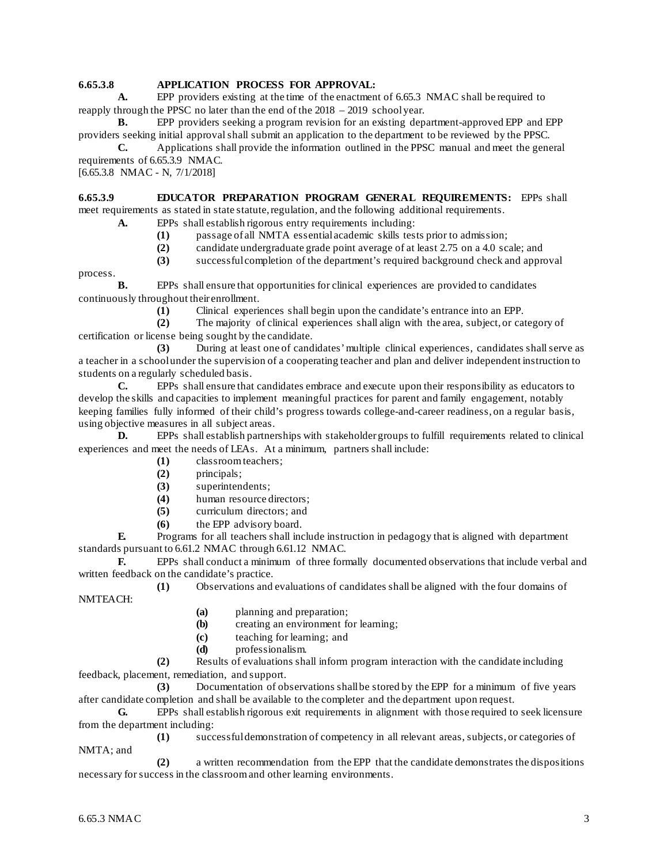# **6.65.3.8 APPLICATION PROCESS FOR APPROVAL:**

**A.** EPP providers existing at the time of the enactment of 6.65.3 NMAC shall be required to reapply through the PPSC no later than the end of the 2018 – 2019 school year.

**B.** EPP providers seeking a program revision for an existing department-approved EPP and EPP providers seeking initial approval shall submit an application to the department to be reviewed by the PPSC.

**C.** Applications shall provide the information outlined in the PPSC manual and meet the general requirements of 6.65.3.9 NMAC.

[6.65.3.8 NMAC - N, 7/1/2018]

**6.65.3.9 EDUCATOR PREPARATION PROGRAM GENERAL REQUIREMENTS:** EPPs shall meet requirements as stated in state statute, regulation, and the following additional requirements.

**A.** EPPs shall establish rigorous entry requirements including:

- **(1)** passage of all NMTA essential academic skills tests prior to admission;
- **(2)** candidate undergraduate grade point average of at least 2.75 on a 4.0 scale; and

**(3)** successful completion of the department's required background check and approval

process.

**B.** EPPs shall ensure that opportunities for clinical experiences are provided to candidates continuously throughout their enrollment.

(1) Clinical experiences shall begin upon the candidate's entrance into an EPP.<br>
(2) The majority of clinical experiences shall align with the area, subject, or can

The majority of clinical experiences shall align with the area, subject, or category of certification or license being sought by the candidate.

**(3)** During at least one of candidates' multiple clinical experiences, candidates shall serve as a teacher in a school under the supervision of a cooperating teacher and plan and deliver independent instruction to students on a regularly scheduled basis.

**C.** EPPs shall ensure that candidates embrace and execute upon their responsibility as educators to develop the skills and capacities to implement meaningful practices for parent and family engagement, notably keeping families fully informed of their child's progress towards college-and-career readiness, on a regular basis, using objective measures in all subject areas.

**D.** EPPs shall establish partnerships with stakeholder groups to fulfill requirements related to clinical experiences and meet the needs of LEAs. At a minimum, partners shall include:

- **(1)** classroom teachers;
- **(2)** principals;
- **(3)** superintendents;
- (4) human resource directors;<br>(5) curriculum directors: and
- **(5)** curriculum directors; and
- **(6)** the EPP advisory board.

**E.** Programs for all teachers shall include instruction in pedagogy that is aligned with department standards pursuant to 6.61.2 NMAC through 6.61.12 NMAC.

**F.** EPPs shall conduct a minimum of three formally documented observations that include verbal and written feedback on the candidate's practice.

**(1)** Observations and evaluations of candidates shall be aligned with the four domains of NMTEACH:

- **(a)** planning and preparation;
- **(b)** creating an environment for learning;
- **(c)** teaching for learning; and
- **(d)** professionalism.

**(2)** Results of evaluations shall inform program interaction with the candidate including feedback, placement, remediation, and support.

**(3)** Documentation of observations shall be stored by the EPP for a minimum of five years after candidate completion and shall be available to the completer and the department upon request.

**G.** EPPs shall establish rigorous exit requirements in alignment with those required to seek licensure from the department including:

**(1)** successful demonstration of competency in all relevant areas, subjects, or categories of NMTA; and

**(2)** a written recommendation from the EPP that the candidate demonstrates the dispositions necessary for success in the classroom and other learning environments.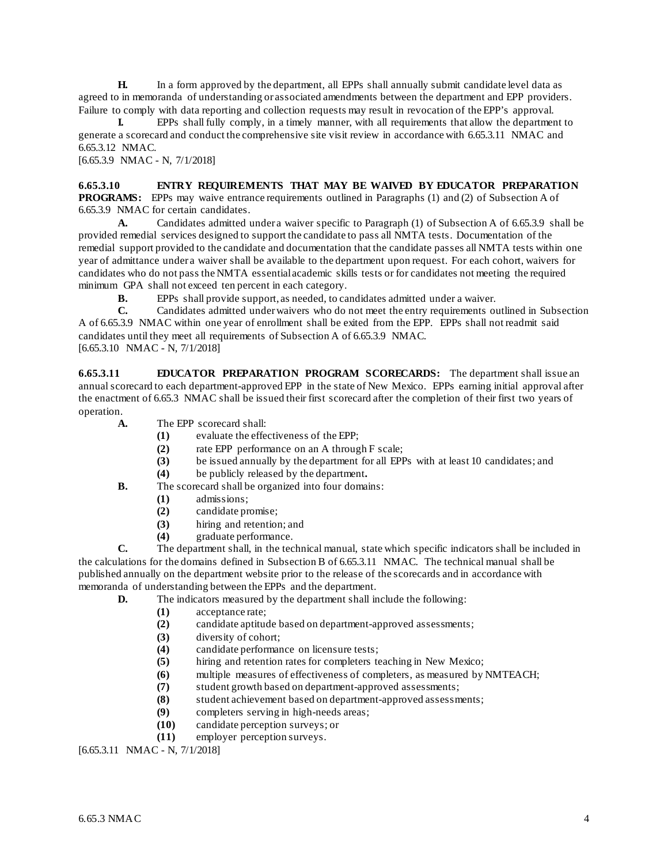**H.** In a form approved by the department, all EPPs shall annually submit candidate level data as agreed to in memoranda of understanding or associated amendments between the department and EPP providers. Failure to comply with data reporting and collection requests may result in revocation of the EPP's approval.

**I.** EPPs shall fully comply, in a timely manner, with all requirements that allow the department to generate a scorecard and conduct the comprehensive site visit review in accordance with 6.65.3.11 NMAC and 6.65.3.12 NMAC.

[6.65.3.9 NMAC - N, 7/1/2018]

## **6.65.3.10 ENTRY REQUIREMENTS THAT MAY BE WAIVED BY EDUCATOR PREPARATION**

**PROGRAMS:** EPPs may waive entrance requirements outlined in Paragraphs (1) and (2) of Subsection A of 6.65.3.9 NMAC for certain candidates.

**A.** Candidates admitted under a waiver specific to Paragraph (1) of Subsection A of 6.65.3.9 shall be provided remedial services designed to support the candidate to pass all NMTA tests. Documentation of the remedial support provided to the candidate and documentation that the candidate passes all NMTA tests within one year of admittance under a waiver shall be available to the department upon request. For each cohort, waivers for candidates who do not pass the NMTA essential academic skills tests or for candidates not meeting the required minimum GPA shall not exceed ten percent in each category.

**B.** EPPs shall provide support, as needed, to candidates admitted under a waiver.<br> **C.** Candidates admitted under waivers who do not meet the entry requirements our

**C.** Candidates admitted under waivers who do not meet the entry requirements outlined in Subsection A of 6.65.3.9 NMAC within one year of enrollment shall be exited from the EPP. EPPs shall not readmit said candidates until they meet all requirements of Subsection A of 6.65.3.9 NMAC. [6.65.3.10 NMAC - N, 7/1/2018]

**6.65.3.11 EDUCATOR PREPARATION PROGRAM SCORECARDS:** The department shall issue an annual scorecard to each department-approved EPP in the state of New Mexico. EPPs earning initial approval after the enactment of 6.65.3 NMAC shall be issued their first scorecard after the completion of their first two years of operation.

- **A.** The EPP scorecard shall:
	- **(1)** evaluate the effectiveness of the EPP;
		-
	- (2) rate EPP performance on an A through F scale;<br>(3) be issued annually by the department for all EPP (3) be issued annually by the department for all EPPs with at least 10 candidates; and the publicly released by the department.
		- **(4)** be publicly released by the department**.**
- **B.** The scorecard shall be organized into four domains:
	- **(1)** admissions;
	- **(2)** candidate promise;
	- **(3)** hiring and retention; and
	- **(4)** graduate performance.

**C.** The department shall, in the technical manual, state which specific indicators shall be included in the calculations for the domains defined in Subsection B of 6.65.3.11 NMAC. The technical manual shall be published annually on the department website prior to the release of the scorecards and in accordance with memoranda of understanding between the EPPs and the department.

- **D.** The indicators measured by the department shall include the following:
	- **(1)** acceptance rate;
	- **(2)** candidate aptitude based on department-approved assessments;
	- **(3)** diversity of cohort;
	- (4) candidate performance on licensure tests;<br>(5) hiring and retention rates for completers te
	- hiring and retention rates for completers teaching in New Mexico;
	- (6) multiple measures of effectiveness of completers, as measured by NMTEACH;<br>(7) student growth based on department-approved assessments;
	- **(7)** student growth based on department-approved assessments;
	- student achievement based on department-approved assessments;
	- **(9)** completers serving in high-needs areas;
	- **(10)** candidate perception surveys; or
	- **(11)** employer perception surveys.

[6.65.3.11 NMAC - N, 7/1/2018]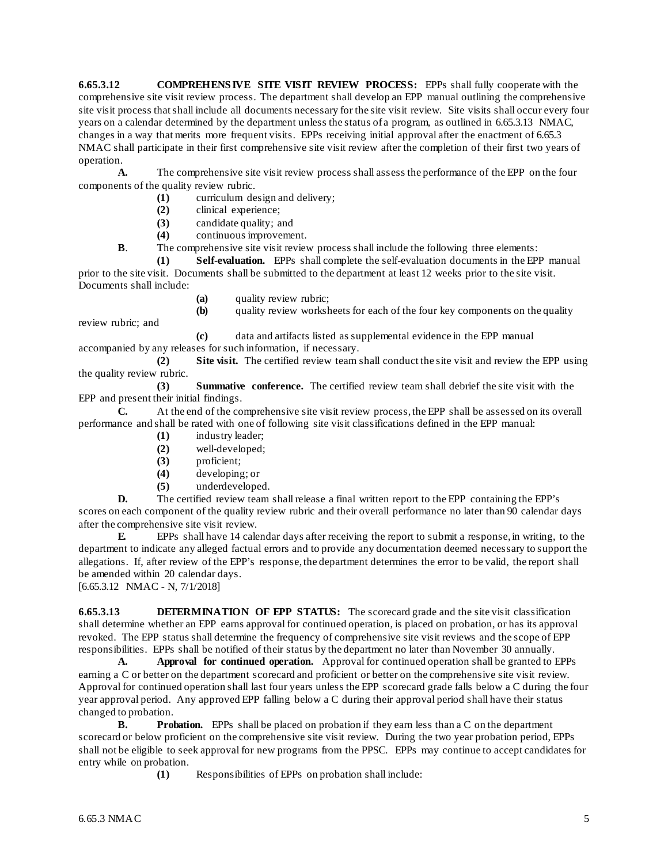**6.65.3.12 COMPREHENS IVE SITE VISIT REVIEW PROCESS:** EPPs shall fully cooperate with the comprehensive site visit review process. The department shall develop an EPP manual outlining the comprehensive site visit process that shall include all documents necessary for the site visit review. Site visits shall occur every four years on a calendar determined by the department unless the status of a program, as outlined in 6.65.3.13 NMAC, changes in a way that merits more frequent visits. EPPs receiving initial approval after the enactment of 6.65.3 NMAC shall participate in their first comprehensive site visit review after the completion of their first two years of operation.

**A.** The comprehensive site visit review process shall assess the performance of the EPP on the four components of the quality review rubric.

- **(1)** curriculum design and delivery;<br>**(2)** clinical experience;
- **(2)** clinical experience;
- **(3)** candidate quality; and

**(4)** continuous improvement.

**B.** The comprehensive site visit review process shall include the following three elements:

**(1) Self-evaluation.** EPPs shall complete the self-evaluation documents in the EPP manual prior to the site visit. Documents shall be submitted to the department at least 12 weeks prior to the site visit. Documents shall include:

**(a)** quality review rubric;

**(b)** quality review worksheets for each of the four key components on the quality

**(c)** data and artifacts listed as supplemental evidence in the EPP manual accompanied by any releases for such information, if necessary.

**(2) Site visit.** The certified review team shall conduct the site visit and review the EPP using the quality review rubric.

**(3) Summative conference.** The certified review team shall debrief the site visit with the EPP and present their initial findings.

**C.** At the end of the comprehensive site visit review process, the EPP shall be assessed on its overall performance and shall be rated with one of following site visit classifications defined in the EPP manual:

- **(1)** industry leader;
- **(2)** well-developed;
- **(3)** proficient;
- **(4)** developing; or
- **(5)** underdeveloped.

**D.** The certified review team shall release a final written report to the EPP containing the EPP's scores on each component of the quality review rubric and their overall performance no later than 90 calendar days after the comprehensive site visit review.

**E.** EPPs shall have 14 calendar days after receiving the report to submit a response, in writing, to the department to indicate any alleged factual errors and to provide any documentation deemed necessary to support the allegations. If, after review of the EPP's response, the department determines the error to be valid, the report shall be amended within 20 calendar days.

[6.65.3.12 NMAC - N, 7/1/2018]

review rubric; and

**6.65.3.13 DETERMINATION OF EPP STATUS:** The scorecard grade and the site visit classification shall determine whether an EPP earns approval for continued operation, is placed on probation, or has its approval revoked. The EPP status shall determine the frequency of comprehensive site visit reviews and the scope of EPP responsibilities. EPPs shall be notified of their status by the department no later than November 30 annually.

**A. Approval for continued operation.** Approval for continued operation shall be granted to EPPs earning a C or better on the department scorecard and proficient or better on the comprehensive site visit review. Approval for continued operation shall last four years unless the EPP scorecard grade falls below a C during the four year approval period. Any approved EPP falling below a C during their approval period shall have their status changed to probation.

**B. Probation.** EPPs shall be placed on probation if they earn less than a C on the department scorecard or below proficient on the comprehensive site visit review. During the two year probation period, EPPs shall not be eligible to seek approval for new programs from the PPSC. EPPs may continue to accept candidates for entry while on probation.

**(1)** Responsibilities of EPPs on probation shall include: